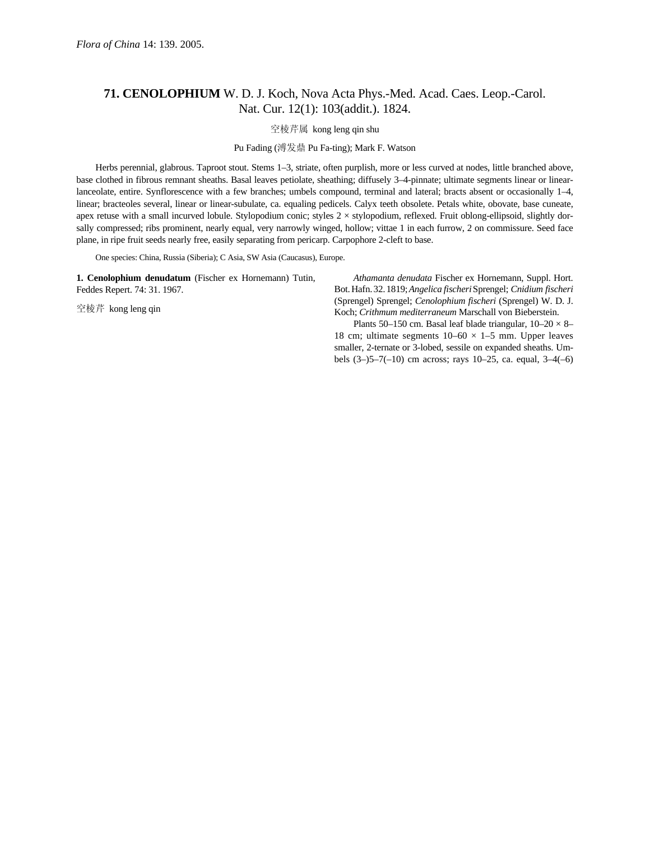## **71. CENOLOPHIUM** W. D. J. Koch, Nova Acta Phys.-Med. Acad. Caes. Leop.-Carol. Nat. Cur. 12(1): 103(addit.). 1824.

空棱芹属 kong leng qin shu

Pu Fading (溥发鼎 Pu Fa-ting); Mark F. Watson

Herbs perennial, glabrous. Taproot stout. Stems 1–3, striate, often purplish, more or less curved at nodes, little branched above, base clothed in fibrous remnant sheaths. Basal leaves petiolate, sheathing; diffusely 3–4-pinnate; ultimate segments linear or linearlanceolate, entire. Synflorescence with a few branches; umbels compound, terminal and lateral; bracts absent or occasionally 1–4, linear; bracteoles several, linear or linear-subulate, ca. equaling pedicels. Calyx teeth obsolete. Petals white, obovate, base cuneate, apex retuse with a small incurved lobule. Stylopodium conic; styles  $2 \times$  stylopodium, reflexed. Fruit oblong-ellipsoid, slightly dorsally compressed; ribs prominent, nearly equal, very narrowly winged, hollow; vittae 1 in each furrow, 2 on commissure. Seed face plane, in ripe fruit seeds nearly free, easily separating from pericarp. Carpophore 2-cleft to base.

One species: China, Russia (Siberia); C Asia, SW Asia (Caucasus), Europe.

**1. Cenolophium denudatum** (Fischer ex Hornemann) Tutin, Feddes Repert. 74: 31. 1967.

空棱芹 kong leng qin

*Athamanta denudata* Fischer ex Hornemann, Suppl. Hort. Bot.Hafn.32.1819;*Angelica fischeri*Sprengel; *Cnidium fischeri*  (Sprengel) Sprengel; *Cenolophium fischeri* (Sprengel) W. D. J. Koch; *Crithmum mediterraneum* Marschall von Bieberstein.

Plants 50–150 cm. Basal leaf blade triangular,  $10-20 \times 8$ – 18 cm; ultimate segments  $10-60 \times 1-5$  mm. Upper leaves smaller, 2-ternate or 3-lobed, sessile on expanded sheaths. Umbels (3–)5–7(–10) cm across; rays 10–25, ca. equal, 3–4(–6)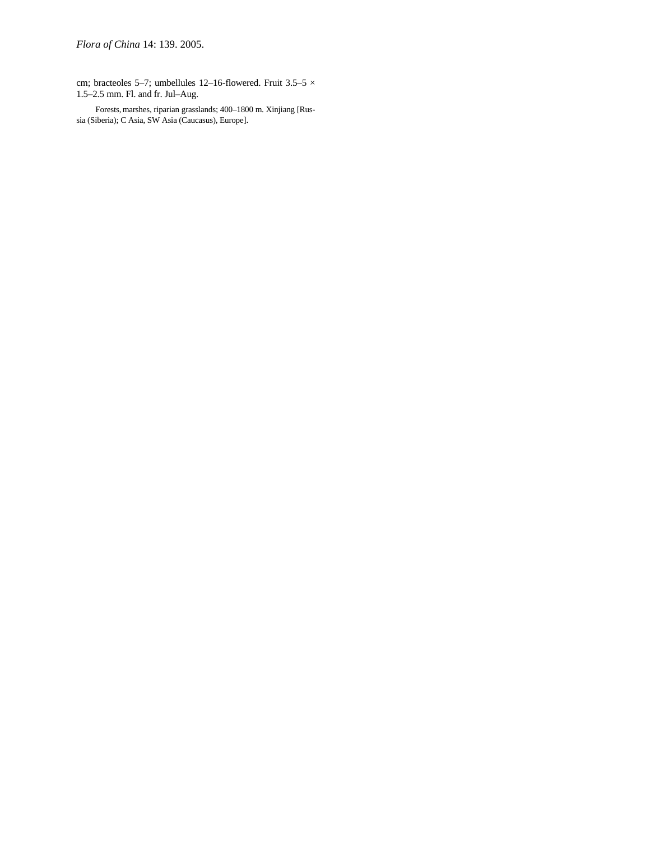cm; bracteoles 5–7; umbellules 12–16-flowered. Fruit 3.5–5  $\times$ 1.5–2.5 mm. Fl. and fr. Jul–Aug.

Forests, marshes, riparian grasslands; 400–1800 m. Xinjiang [Russia (Siberia); C Asia, SW Asia (Caucasus), Europe].